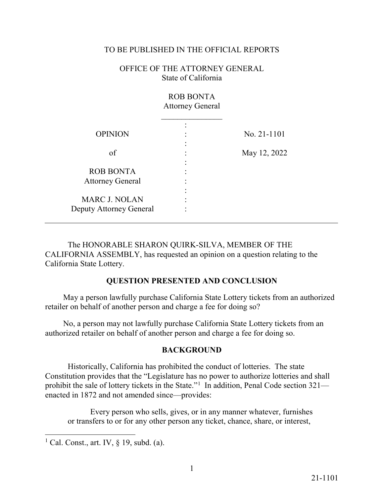## TO BE PUBLISHED IN THE OFFICIAL REPORTS

OFFICE OF THE ATTORNEY GENERAL State of California

|                                                 | <b>ROB BONTA</b><br><b>Attorney General</b> |              |
|-------------------------------------------------|---------------------------------------------|--------------|
| <b>OPINION</b>                                  |                                             | No. 21-1101  |
| of                                              |                                             | May 12, 2022 |
| <b>ROB BONTA</b>                                |                                             |              |
| <b>Attorney General</b><br><b>MARC J. NOLAN</b> |                                             |              |
| Deputy Attorney General                         |                                             |              |

The HONORABLE SHARON QUIRK-SILVA, MEMBER OF THE CALIFORNIA ASSEMBLY, has requested an opinion on a question relating to the California State Lottery.

## **QUESTION PRESENTED AND CONCLUSION**

May a person lawfully purchase California State Lottery tickets from an authorized retailer on behalf of another person and charge a fee for doing so?

No, a person may not lawfully purchase California State Lottery tickets from an authorized retailer on behalf of another person and charge a fee for doing so.

## **BACKGROUND**

prohibit the sale of lottery tickets in the State."<sup>1</sup> In addition, Penal Code section 321— Historically, California has prohibited the conduct of lotteries. The state Constitution provides that the "Legislature has no power to authorize lotteries and shall enacted in 1872 and not amended since—provides:

Every person who sells, gives, or in any manner whatever, furnishes or transfers to or for any other person any ticket, chance, share, or interest,

 $\overline{a}$ 

<span id="page-0-0"></span><sup>&</sup>lt;sup>1</sup> Cal. Const., art. IV,  $\S$  19, subd. (a).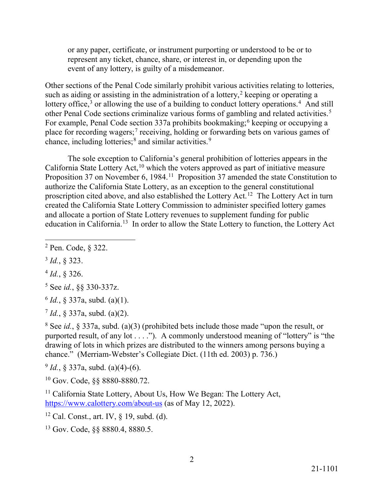or any paper, certificate, or instrument purporting or understood to be or to represent any ticket, chance, share, or interest in, or depending upon the event of any lottery, is guilty of a misdemeanor.

other Penal Code sections criminalize various forms of gambling and related activities.<sup>5</sup> Other sections of the Penal Code similarly prohibit various activities relating to lotteries, such as aiding or assisting in the administration of a lottery,<sup>[2](#page-1-0)</sup> keeping or operating a lottery office,<sup>[3](#page-1-1)</sup> or allowing the use of a building to conduct lottery operations.<sup>[4](#page-1-2)</sup> And still For example, Penal Code section 337a prohibits bookmaking;<sup>[6](#page-1-4)</sup> keeping or occupying a place for recording wagers;<sup>[7](#page-1-5)</sup> receiving, holding or forwarding bets on various games of chance, including lotteries;<sup>[8](#page-1-6)</sup> and similar activities.<sup>9</sup>

The sole exception to California's general prohibition of lotteries appears in the California State Lottery Act,<sup>10</sup> which the voters approved as part of initiative measure Proposition 37 on November 6, 1984.<sup>[11](#page-1-9)</sup> Proposition 37 amended the state Constitution to authorize the California State Lottery, as an exception to the general constitutional proscription cited above, and also established the Lottery Act.<sup>[12](#page-1-10)</sup> The Lottery Act in turn created the California State Lottery Commission to administer specified lottery games and allocate a portion of State Lottery revenues to supplement funding for public education in [California.1](https://California.13)[3](#page-1-11) In order to allow the State Lottery to function, the Lottery Act

<span id="page-1-1"></span><sup>3</sup>*Id.*, § 323.

<span id="page-1-2"></span><sup>4</sup>*Id.*, § 326.

<span id="page-1-3"></span>5 See *id.*, §§ 330-337z.

<span id="page-1-4"></span> $^{6}$  *Id.*, § 337a, subd. (a)(1).

<span id="page-1-5"></span><sup>7</sup>*Id.*, § 337a, subd. (a)(2).

<span id="page-1-6"></span>8 See *id.*, § 337a, subd. (a)(3) (prohibited bets include those made "upon the result, or purported result, of any lot . . . ."). A commonly understood meaning of "lottery" is "the drawing of lots in which prizes are distributed to the winners among persons buying a chance." (Merriam-Webster's Collegiate Dict. (11th ed. 2003) p. 736.)

<span id="page-1-7"></span> $^{9}$  *Id.*, § 337a, subd. (a)(4)-(6).

<span id="page-1-8"></span>10 Gov. Code, §§ [8880-8880.72](https://8880-8880.72).

<span id="page-1-9"></span><https://www.calottery.com/about-us>(as of May 12, 2022). <sup>11</sup> California State Lottery, About Us, How We Began: The Lottery Act,

<span id="page-1-10"></span>12 Cal. Const., art. IV, § 19, subd. (d).

<span id="page-1-0"></span> $\overline{a}$ 2 Pen. Code, § 322.

<span id="page-1-11"></span><sup>13</sup> Gov. Code, §§ 8880.4, 8880.5.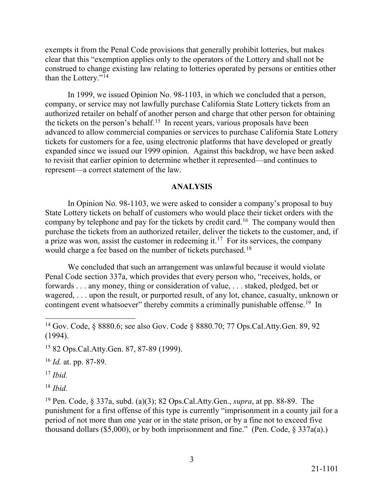exempts it from the Penal Code provisions that generally prohibit lotteries, but makes clear that this "exemption applies only to the operators of the Lottery and shall not be construed to change existing law relating to lotteries operated by persons or entities other than the Lottery."[14](#page-2-0)

the tickets on the person's [behalf.](https://behalf.15)<sup>15</sup> In recent years, various proposals have been In 1999, we issued Opinion No. 98-1103, in which we concluded that a person, company, or service may not lawfully purchase California State Lottery tickets from an authorized retailer on behalf of another person and charge that other person for obtaining advanced to allow commercial companies or services to purchase California State Lottery tickets for customers for a fee, using electronic platforms that have developed or greatly expanded since we issued our 1999 opinion. Against this backdrop, we have been asked to revisit that earlier opinion to determine whether it represented—and continues to represent—a correct statement of the law.

## **ANALYSIS**

company by telephone and pay for the tickets by credit card.<sup>16</sup> The company would then a prize was won, assist the customer in redeeming it.<sup>[17](#page-2-3)</sup> For its services, the company would charge a fee based on the number of tickets purchased.<sup>1[8](#page-2-4)</sup> In Opinion No. 98-1103, we were asked to consider a company's proposal to buy State Lottery tickets on behalf of customers who would place their ticket orders with the purchase the tickets from an authorized retailer, deliver the tickets to the customer, and, if

contingent event whatsoever" thereby commits a criminally punishable [offense.](https://offense.19)<sup>19</sup> In We concluded that such an arrangement was unlawful because it would violate Penal Code section 337a, which provides that every person who, "receives, holds, or forwards . . . any money, thing or consideration of value, . . . staked, pledged, bet or wagered, . . . upon the result, or purported result, of any lot, chance, casualty, unknown or

<span id="page-2-2"></span><sup>16</sup>*Id.* at. pp. 87-89.

<span id="page-2-3"></span><sup>17</sup>*Ibid.* 

-

<span id="page-2-4"></span><sup>18</sup>*Ibid.* 

<span id="page-2-5"></span>19 Pen. Code, § 337a, subd. (a)(3); 82 Ops.Cal.Atty.Gen., *supra*, at pp. 88-89. The punishment for a first offense of this type is currently "imprisonment in a county jail for a period of not more than one year or in the state prison, or by a fine not to exceed five thousand dollars (\$5,000), or by both imprisonment and fine." (Pen. Code,  $\S 337a(a)$ .)

<span id="page-2-0"></span><sup>14</sup> Gov. Code, § 8880.6; see also Gov. Code § 8880.70; 77 Ops.Cal.Atty.Gen. 89, 92 (1994).

<span id="page-2-1"></span><sup>15 82</sup> Ops.Cal.Atty.Gen. 87, 87-89 (1999).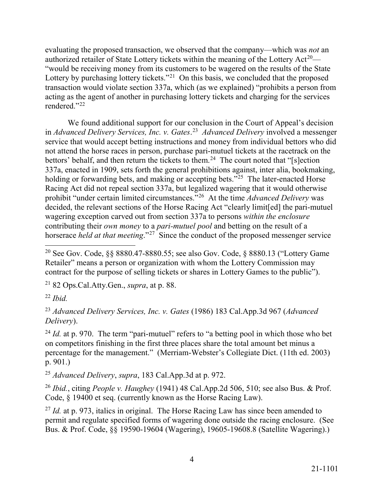Lottery by purchasing lottery tickets."<sup>[21](#page-3-1)</sup> On this basis, we concluded that the proposed evaluating the proposed transaction, we observed that the company—which was *not* an authorized retailer of State Lottery tickets within the meaning of the Lottery Act<sup>20</sup>— "would be receiving money from its customers to be wagered on the results of the State transaction would violate section 337a, which (as we explained) "prohibits a person from acting as the agent of another in purchasing lottery tickets and charging for the services rendered."[22](#page-3-2) 

 in *Advanced Delivery Services, Inc. v. [Gates](https://Gates.23)*. [23](#page-3-3) *Advanced Delivery* involved a messenger bettors' behalf, and then return the tickets to them.<sup>[24](#page-3-4)</sup> The court noted that "[s]ection holding or forwarding bets, and making or accepting bets."<sup>[25](#page-3-5)</sup> The later-enacted Horse prohibit "under certain limited circumstances."[26](#page-3-6) At the time *Advanced Delivery* was wagering exception carved out from section 337a to persons *within the enclosure*  contributing their *own money* to a *pari-mutuel pool* and betting on the result of a horserace *held at that meeting*."[27](#page-3-7) Since the conduct of the proposed messenger service We found additional support for our conclusion in the Court of Appeal's decision service that would accept betting instructions and money from individual bettors who did not attend the horse races in person, purchase pari-mutuel tickets at the racetrack on the 337a, enacted in 1909, sets forth the general prohibitions against, inter alia, bookmaking, Racing Act did not repeal section 337a, but legalized wagering that it would otherwise decided, the relevant sections of the Horse Racing Act "clearly limit[ed] the pari-mutuel

<span id="page-3-1"></span>21 82 Ops.Cal.Atty.Gen., *supra*, at p. 88.

<span id="page-3-2"></span><sup>22</sup>*Ibid.* 

<span id="page-3-3"></span><sup>23</sup>*Advanced Delivery Services, Inc. v. Gates* (1986) 183 [Cal.App.3d](https://Cal.App.3d) 967 (*Advanced Delivery*).

<span id="page-3-4"></span><sup>24</sup> *Id.* at p. 970. The term "pari-mutuel" refers to "a betting pool in which those who bet percentage for the management." (Merriam-Webster's Collegiate Dict. (11th ed. 2003) p. 901.) on competitors finishing in the first three places share the total amount bet minus a

<span id="page-3-5"></span><sup>25</sup>*Advanced Delivery*, *supra*, 183 [Cal.App.3d](https://Cal.App.3d) at p. 972.

<span id="page-3-6"></span><sup>26</sup>*Ibid.*, citing *People v. Haughey* (1941) 48 [Cal.App.2d](https://Cal.App.2d) 506, 510; see also Bus. & Prof. Code, § 19400 et seq. (currently known as the Horse Racing Law).

<span id="page-3-7"></span><sup>27</sup> Id. at p. 973, italics in original. The Horse Racing Law has since been amended to permit and regulate specified forms of wagering done outside the racing enclosure. (See Bus. & Prof. Code, §§ 19590-19604 (Wagering), 19605-19608.8 (Satellite Wagering).)

<span id="page-3-0"></span><sup>-</sup><sup>20</sup> See Gov. Code, §§ [8880.47-8880.55;](https://8880.47-8880.55) see also Gov. Code, § 8880.13 ("Lottery Game Retailer" means a person or organization with whom the Lottery Commission may contract for the purpose of selling tickets or shares in Lottery Games to the public").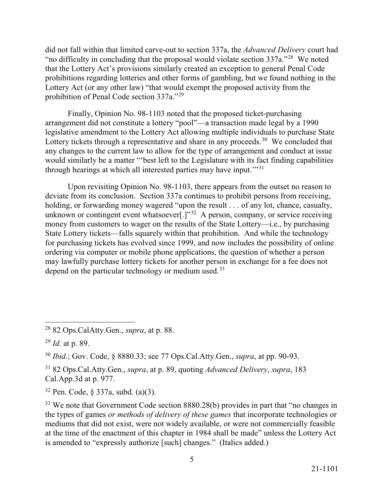did not fall within that limited carve-out to section 337a, the *Advanced Delivery* court had "no difficulty in concluding that the proposal would violate section  $337a$ ."<sup>28</sup> We noted prohibition of Penal Code section 337a."<sup>[29](#page-4-1)</sup> that the Lottery Act's provisions similarly created an exception to general Penal Code prohibitions regarding lotteries and other forms of gambling, but we found nothing in the Lottery Act (or any other law) "that would exempt the proposed activity from the

Lottery tickets through a representative and share in any proceeds.<sup>3[0](#page-4-2)</sup> We concluded that Finally, Opinion No. 98-1103 noted that the proposed ticket-purchasing arrangement did not constitute a lottery "pool"—a transaction made legal by a 1990 legislative amendment to the Lottery Act allowing multiple individuals to purchase State any changes to the current law to allow for the type of arrangement and conduct at issue would similarly be a matter "'best left to the Legislature with its fact finding capabilities through hearings at which all interested parties may have input.'"[31](#page-4-3)

unknown or contingent event whatsoever $[.]$ <sup>[32](#page-4-4)</sup> A person, company, or service receiving for purchasing tickets has evolved since 1999, and now includes the possibility of online depend on the particular technology or medium used.<sup>[33](#page-4-5)</sup> Upon revisiting Opinion No. 98-1103, there appears from the outset no reason to deviate from its conclusion. Section 337a continues to prohibit persons from receiving, holding, or forwarding money wagered "upon the result . . . of any lot, chance, casualty, money from customers to wager on the results of the State Lottery—i.e., by purchasing State Lottery tickets—falls squarely within that prohibition. And while the technology ordering via computer or mobile phone applications, the question of whether a person may lawfully purchase lottery tickets for another person in exchange for a fee does not

-

<span id="page-4-0"></span><sup>28 82</sup> Ops.CalAtty.Gen., *supra*, at p. 88.

<span id="page-4-1"></span> <sup>29</sup>*Id.* at p. 89.

<span id="page-4-2"></span><sup>30</sup>*Ibid.*; Gov. Code, § 8880.33; see 77 Ops.Cal.Atty.Gen., *supra*, at pp. 90-93.

<span id="page-4-3"></span><sup>31 82</sup> Ops.Cal.Atty.Gen., *supra*, at p. 89, quoting *Advanced Delivery*, *supra*, 183 [Cal.App.3d](https://Cal.App.3d) at p. 977.

<span id="page-4-4"></span><sup>32</sup> Pen. Code, § 337a, subd. (a)(3).

<span id="page-4-5"></span> is amended to "expressly authorize [such] changes." (Italics added.) <sup>33</sup> We note that Government Code section 8880.28(b) provides in part that "no changes in the types of games *or methods of delivery of these games* that incorporate technologies or mediums that did not exist, were not widely available, or were not commercially feasible at the time of the enactment of this chapter in 1984 shall be made" unless the Lottery Act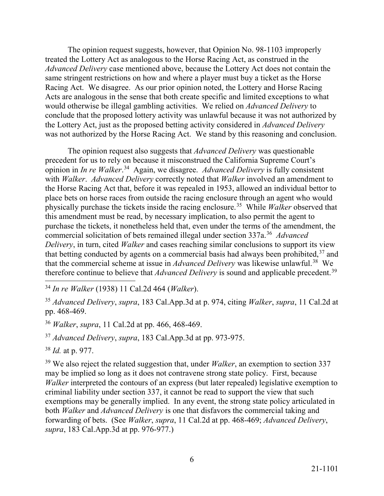The opinion request suggests, however, that Opinion No. 98-1103 improperly *Advanced Delivery* case mentioned above, because the Lottery Act does not contain the Racing Act. We disagree. As our prior opinion noted, the Lottery and Horse Racing would otherwise be illegal gambling activities. We relied on *Advanced Delivery* to treated the Lottery Act as analogous to the Horse Racing Act, as construed in the same stringent restrictions on how and where a player must buy a ticket as the Horse Acts are analogous in the sense that both create specific and limited exceptions to what conclude that the proposed lottery activity was unlawful because it was not authorized by the Lottery Act, just as the proposed betting activity considered in *Advanced Delivery*  was not authorized by the Horse Racing Act. We stand by this reasoning and conclusion.

 opinion in *In re Walker*. [34](#page-5-0) Again, we disagree. *Advanced Delivery* is fully consistent with *Walker*. *Advanced Delivery* correctly noted that *Walker* involved an amendment to physically purchase the tickets inside the racing enclosure.[35](#page-5-1) While *Walker* observed that commercial solicitation of bets remained illegal under section 337a.[36](#page-5-2) *Advanced*  that the commercial scheme at issue in *Advanced Delivery* was likewise unlawful.<sup>[38](#page-5-4)</sup> We The opinion request also suggests that *Advanced Delivery* was questionable precedent for us to rely on because it misconstrued the California Supreme Court's the Horse Racing Act that, before it was repealed in 1953, allowed an individual bettor to place bets on horse races from outside the racing enclosure through an agent who would this amendment must be read, by necessary implication, to also permit the agent to purchase the tickets, it nonetheless held that, even under the terms of the amendment, the *Delivery*, in turn, cited *Walker* and cases reaching similar conclusions to support its view that betting conducted by agents on a commercial basis had always been prohibited, $37$  and therefore continue to believe that *Advanced Delivery* is sound and applicable precedent.<sup>[39](#page-5-5)</sup>

<span id="page-5-0"></span>-<sup>34</sup>*In re Walker* (1938) 11 Cal.2d 464 (*Walker*).

<span id="page-5-1"></span><sup>35</sup>*Advanced Delivery*, *supra*, 183 [Cal.App.3d](https://Cal.App.3d) at p. 974, citing *Walker*, *supra*, 11 Cal.2d at pp. 468-469.

<span id="page-5-2"></span><sup>36</sup> Walker, supra, 11 Cal.2d at pp. 466, 468-469.

<span id="page-5-3"></span><sup>37</sup> *Advanced Delivery, supra,* 183 [Cal.App.3d](https://Cal.App.3d) at pp. 973-975.

<span id="page-5-4"></span><sup>38</sup>*Id.* at p. 977.

<span id="page-5-5"></span>39 We also reject the related suggestion that, under *Walker*, an exemption to section 337 may be implied so long as it does not contravene strong state policy. First, because *Walker* interpreted the contours of an express (but later repealed) legislative exemption to criminal liability under section 337, it cannot be read to support the view that such exemptions may be generally implied. In any event, the strong state policy articulated in both *Walker* and *Advanced Delivery* is one that disfavors the commercial taking and forwarding of bets. (See *Walker*, *supra*, 11 Cal.2d at pp. 468-469; *Advanced Delivery*, *supra*, 183 [Cal.App.3d](https://Cal.App.3d) at pp. 976-977.)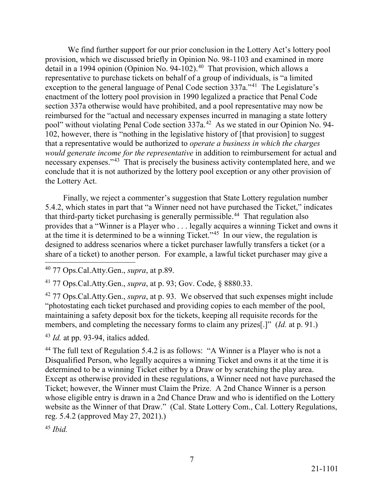detail in a 1994 opinion (Opinion No. 94-102).<sup>40</sup> That provision, which allows a exception to the general language of Penal Code section 337a."<sup>[41](#page-6-1)</sup> The Legislature's pool" without violating Penal Code section 337a.<sup>[42](#page-6-2)</sup> As we stated in our Opinion No. 94- 102, however, there is "nothing in the legislative history of [that provision] to suggest necessary expenses."<sup>43</sup> That is precisely the business activity contemplated here, and we the Lottery Act. We find further support for our prior conclusion in the Lottery Act's lottery pool provision, which we discussed briefly in Opinion No. 98-1103 and examined in more representative to purchase tickets on behalf of a group of individuals, is "a limited enactment of the lottery pool provision in 1990 legalized a practice that Penal Code section 337a otherwise would have prohibited, and a pool representative may now be reimbursed for the "actual and necessary expenses incurred in managing a state lottery that a representative would be authorized to *operate a business in which the charges would generate income for the representative* in addition to reimbursement for actual and conclude that it is not authorized by the lottery pool exception or any other provision of

that third-party ticket purchasing is generally permissible.<sup>44</sup> That regulation also at the time it is determined to be a winning Ticket."<sup>[45](#page-6-5)</sup> In our view, the regulation is  $\overline{a}$ Finally, we reject a commenter's suggestion that State Lottery regulation number 5.4.2, which states in part that "a Winner need not have purchased the Ticket," indicates provides that a "Winner is a Player who . . . legally acquires a winning Ticket and owns it designed to address scenarios where a ticket purchaser lawfully transfers a ticket (or a share of a ticket) to another person. For example, a lawful ticket purchaser may give a

<span id="page-6-0"></span>40 77 Ops.Cal.Atty.Gen., *supra*, at p.89.

<span id="page-6-1"></span>41 77 Ops.Cal.Atty.Gen., *supra*, at p. 93; Gov. Code, § 8880.33.

<span id="page-6-2"></span> members, and completing the necessary forms to claim any prizes[.]" (*Id.* at p. 91.) 42 77 Ops.Cal.Atty.Gen., *supra*, at p. 93. We observed that such expenses might include "photostating each ticket purchased and providing copies to each member of the pool, maintaining a safety deposit box for the tickets, keeping all requisite records for the

<span id="page-6-3"></span><sup>43</sup>*Id.* at pp. 93-94, italics added.

<span id="page-6-4"></span> determined to be a winning Ticket either by a Draw or by scratching the play area. Ticket; however, the Winner must Claim the Prize. A 2nd Chance Winner is a person website as the Winner of that Draw." (Cal. State Lottery Com., Cal. Lottery Regulations, reg. 5.4.2 (approved May 27, 2021).) <sup>44</sup> The full text of Regulation 5.4.2 is as follows: "A Winner is a Player who is not a Disqualified Person, who legally acquires a winning Ticket and owns it at the time it is Except as otherwise provided in these regulations, a Winner need not have purchased the whose eligible entry is drawn in a 2nd Chance Draw and who is identified on the Lottery

<span id="page-6-5"></span><sup>45</sup>*Ibid.*